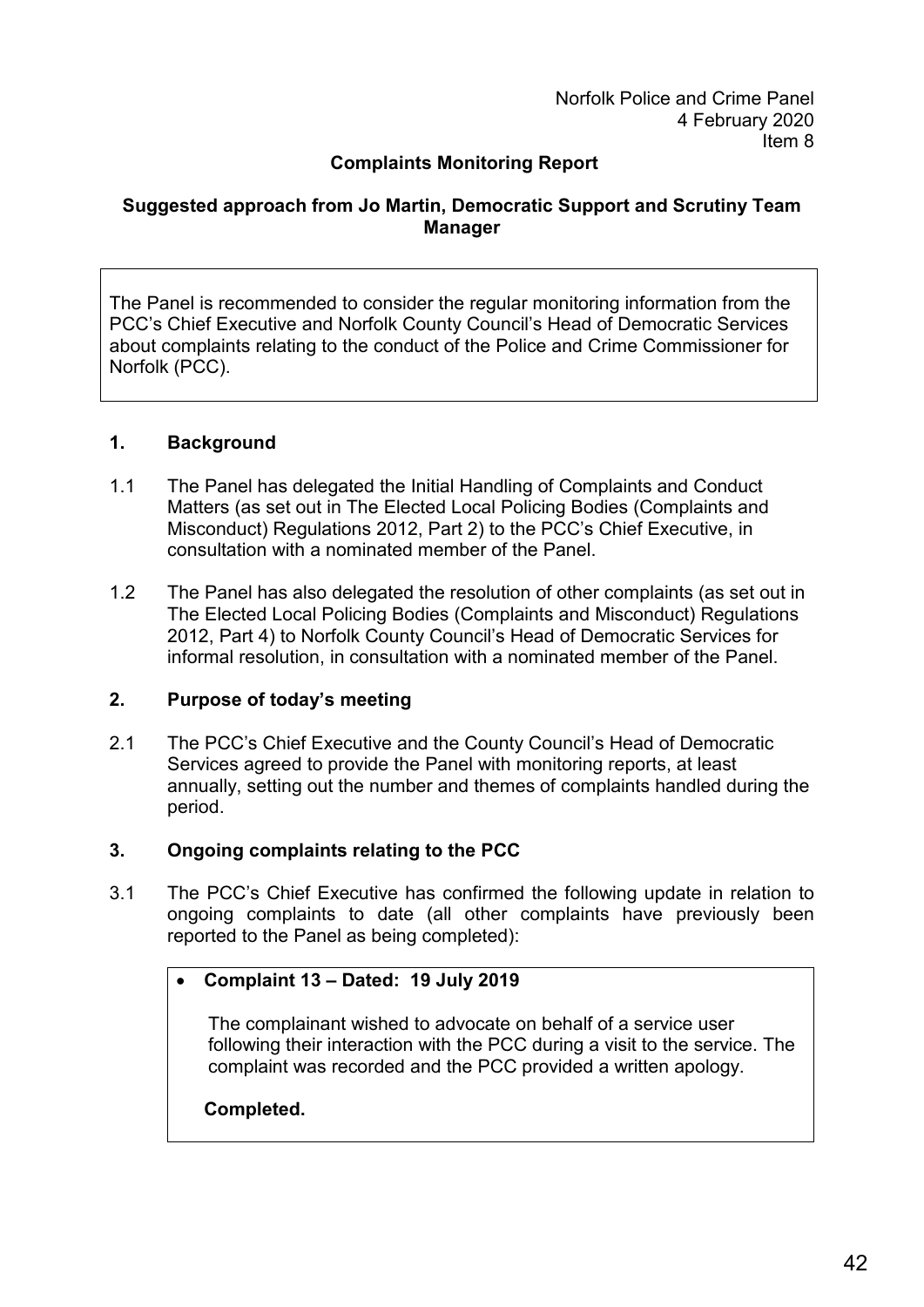### **Complaints Monitoring Report**

### **Suggested approach from Jo Martin, Democratic Support and Scrutiny Team Manager**

The Panel is recommended to consider the regular monitoring information from the PCC's Chief Executive and Norfolk County Council's Head of Democratic Services about complaints relating to the conduct of the Police and Crime Commissioner for Norfolk (PCC).

#### **1. Background**

- 1.1 The Panel has delegated the Initial Handling of Complaints and Conduct Matters (as set out in The Elected Local Policing Bodies (Complaints and Misconduct) Regulations 2012, Part 2) to the PCC's Chief Executive, in consultation with a nominated member of the Panel.
- 1.2 The Panel has also delegated the resolution of other complaints (as set out in The Elected Local Policing Bodies (Complaints and Misconduct) Regulations 2012, Part 4) to Norfolk County Council's Head of Democratic Services for informal resolution, in consultation with a nominated member of the Panel.

### **2. Purpose of today's meeting**

2.1 The PCC's Chief Executive and the County Council's Head of Democratic Services agreed to provide the Panel with monitoring reports, at least annually, setting out the number and themes of complaints handled during the period.

### **3. Ongoing complaints relating to the PCC**

3.1 The PCC's Chief Executive has confirmed the following update in relation to ongoing complaints to date (all other complaints have previously been reported to the Panel as being completed):

#### • **Complaint 13 – Dated: 19 July 2019**

The complainant wished to advocate on behalf of a service user following their interaction with the PCC during a visit to the service. The complaint was recorded and the PCC provided a written apology.

### **Completed.**